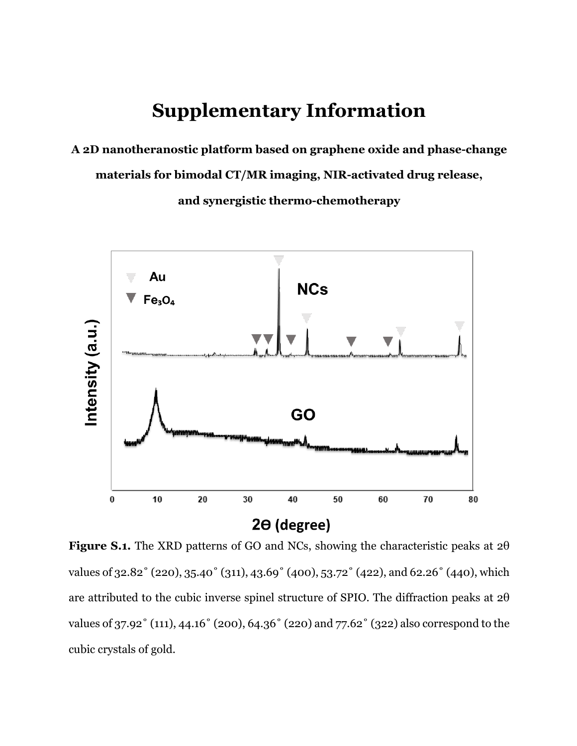## **Supplementary Information**

**A 2D nanotheranostic platform based on graphene oxide and phase-change** 

**materials for bimodal CT/MR imaging, NIR-activated drug release,**

**and synergistic thermo-chemotherapy**



**Figure S.1.** The XRD patterns of GO and NCs, showing the characteristic peaks at 2θ values of 32.82˚ (220), 35.40˚ (311), 43.69˚ (400), 53.72˚ (422), and 62.26˚ (440), which are attributed to the cubic inverse spinel structure of SPIO. The diffraction peaks at 2θ values of 37.92˚ (111), 44.16˚ (200), 64.36˚ (220) and 77.62˚ (322) also correspond to the cubic crystals of gold.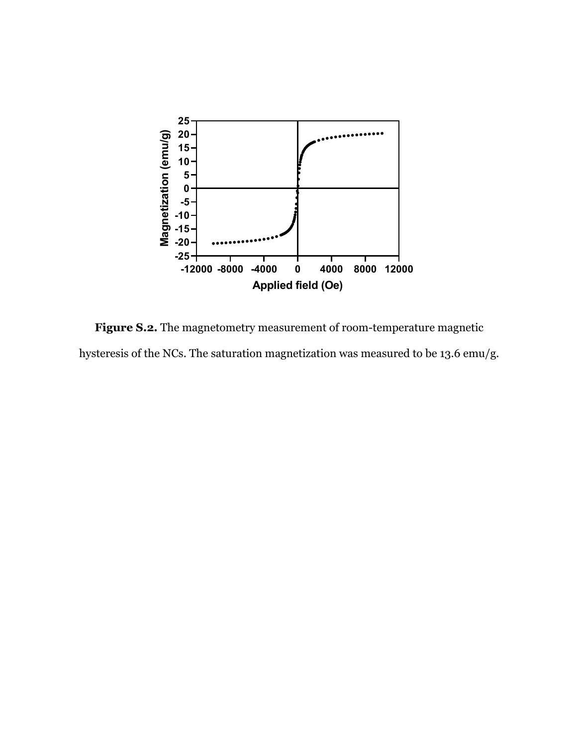

**Figure S.2.** The magnetometry measurement of room-temperature magnetic hysteresis of the NCs. The saturation magnetization was measured to be 13.6 emu/g.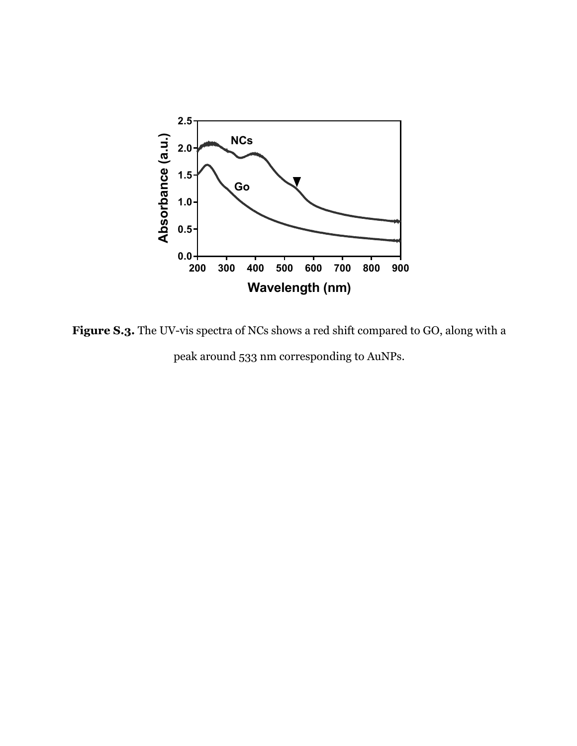

**Figure S.3.** The UV-vis spectra of NCs shows a red shift compared to GO, along with a peak around 533 nm corresponding to AuNPs.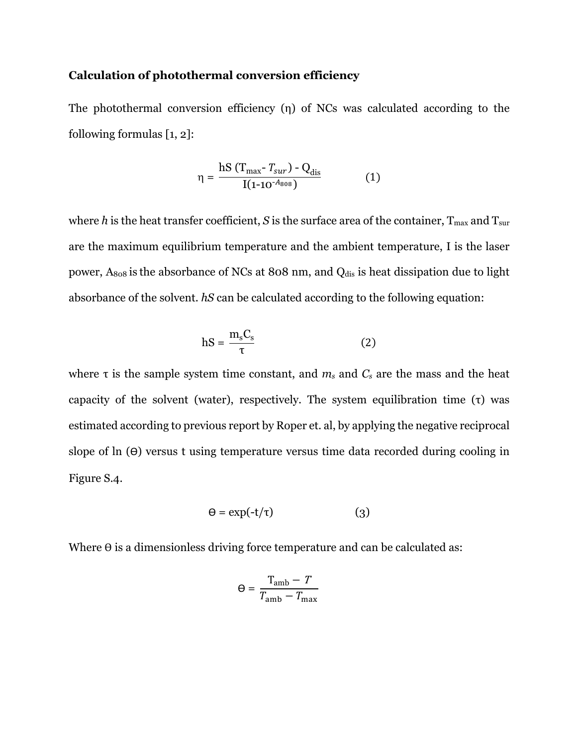## **Calculation of photothermal conversion efficiency**

The photothermal conversion efficiency (η) of NCs was calculated according to the following formulas [1, 2]:

$$
\eta = \frac{\text{hS} (T_{\text{max}} - T_{\text{sur}}) - Q_{\text{dis}}}{I(1 - 10^{-A_{808}})}
$$
(1)

where *h* is the heat transfer coefficient, *S* is the surface area of the container,  $T_{\text{max}}$  and  $T_{\text{sur}}$ are the maximum equilibrium temperature and the ambient temperature, I is the laser power,  $A_{808}$  is the absorbance of NCs at 808 nm, and  $Q_{dis}$  is heat dissipation due to light absorbance of the solvent. *hS* can be calculated according to the following equation:

$$
hS = \frac{m_s C_s}{\tau}
$$
 (2)

where  $\tau$  is the sample system time constant, and  $m_s$  and  $C_s$  are the mass and the heat capacity of the solvent (water), respectively. The system equilibration time (τ) was estimated according to previous report by Roper et. al, by applying the negative reciprocal slope of  $\ln(\theta)$  versus t using temperature versus time data recorded during cooling in Figure S.4.

$$
\Theta = \exp(-t/\tau) \tag{3}
$$

Where  $\theta$  is a dimensionless driving force temperature and can be calculated as:

$$
\Theta = \frac{T_{\rm amb} - T}{T_{\rm amb} - T_{\rm max}}
$$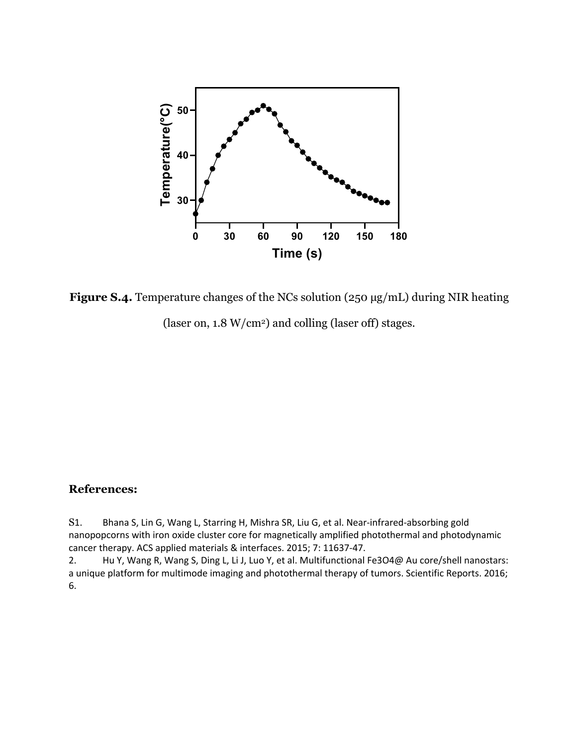

**Figure S.4.** Temperature changes of the NCs solution (250 µg/mL) during NIR heating (laser on, 1.8 W/cm2) and colling (laser off) stages.

## **References:**

S1. Bhana S, Lin G, Wang L, Starring H, Mishra SR, Liu G, et al. Near-infrared-absorbing gold nanopopcorns with iron oxide cluster core for magnetically amplified photothermal and photodynamic cancer therapy. ACS applied materials & interfaces. 2015; 7: 11637-47.

2. Hu Y, Wang R, Wang S, Ding L, Li J, Luo Y, et al. Multifunctional Fe3O4@ Au core/shell nanostars: a unique platform for multimode imaging and photothermal therapy of tumors. Scientific Reports. 2016; 6.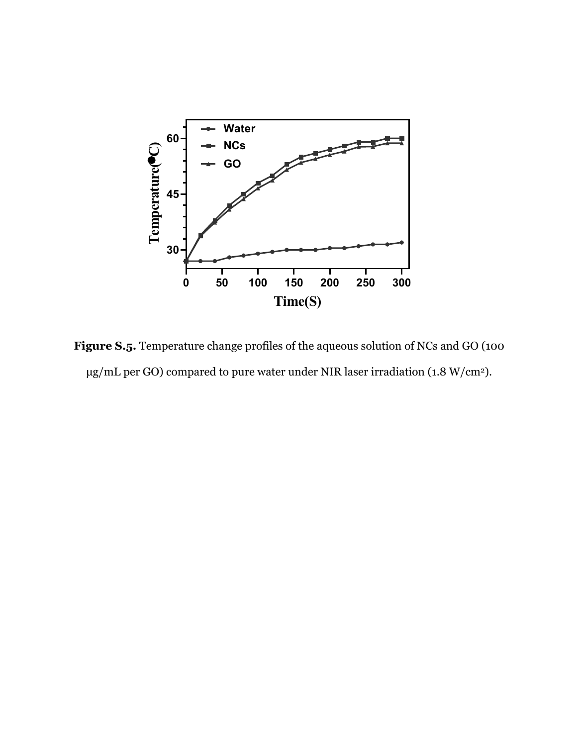

**Figure S.5.** Temperature change profiles of the aqueous solution of NCs and GO (100 µg/mL per GO) compared to pure water under NIR laser irradiation (1.8 W/cm2).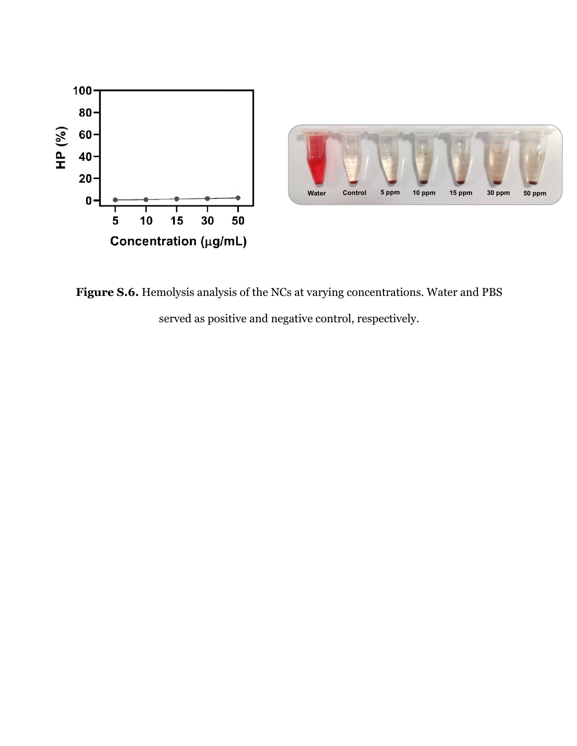

**Figure S.6.** Hemolysis analysis of the NCs at varying concentrations. Water and PBS served as positive and negative control, respectively.